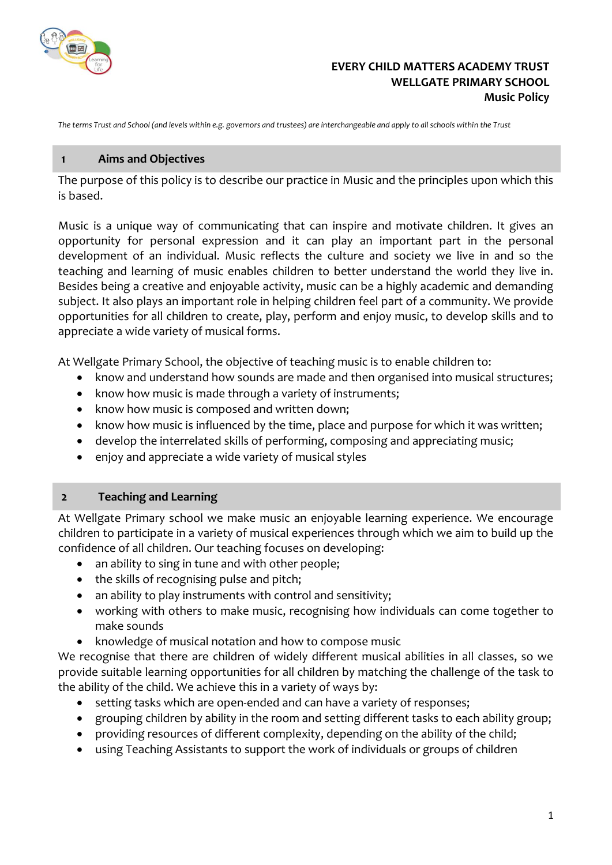

## **EVERY CHILD MATTERS ACADEMY TRUST WELLGATE PRIMARY SCHOOL Music Policy**

*The terms Trust and School (and levels within e.g. governors and trustees) are interchangeable and apply to all schools within the Trust*

#### **1 Aims and Objectives**

The purpose of this policy is to describe our practice in Music and the principles upon which this is based.

Music is a unique way of communicating that can inspire and motivate children. It gives an opportunity for personal expression and it can play an important part in the personal development of an individual. Music reflects the culture and society we live in and so the teaching and learning of music enables children to better understand the world they live in. Besides being a creative and enjoyable activity, music can be a highly academic and demanding subject. It also plays an important role in helping children feel part of a community. We provide opportunities for all children to create, play, perform and enjoy music, to develop skills and to appreciate a wide variety of musical forms.

At Wellgate Primary School, the objective of teaching music is to enable children to:

- know and understand how sounds are made and then organised into musical structures;
- know how music is made through a variety of instruments;
- know how music is composed and written down;
- know how music is influenced by the time, place and purpose for which it was written;
- develop the interrelated skills of performing, composing and appreciating music;
- enjoy and appreciate a wide variety of musical styles

#### **2 Teaching and Learning**

At Wellgate Primary school we make music an enjoyable learning experience. We encourage children to participate in a variety of musical experiences through which we aim to build up the confidence of all children. Our teaching focuses on developing:

- an ability to sing in tune and with other people;
- the skills of recognising pulse and pitch;
- an ability to play instruments with control and sensitivity;
- working with others to make music, recognising how individuals can come together to make sounds
- knowledge of musical notation and how to compose music

We recognise that there are children of widely different musical abilities in all classes, so we provide suitable learning opportunities for all children by matching the challenge of the task to the ability of the child. We achieve this in a variety of ways by:

- setting tasks which are open-ended and can have a variety of responses;
- grouping children by ability in the room and setting different tasks to each ability group;
- providing resources of different complexity, depending on the ability of the child;
- using Teaching Assistants to support the work of individuals or groups of children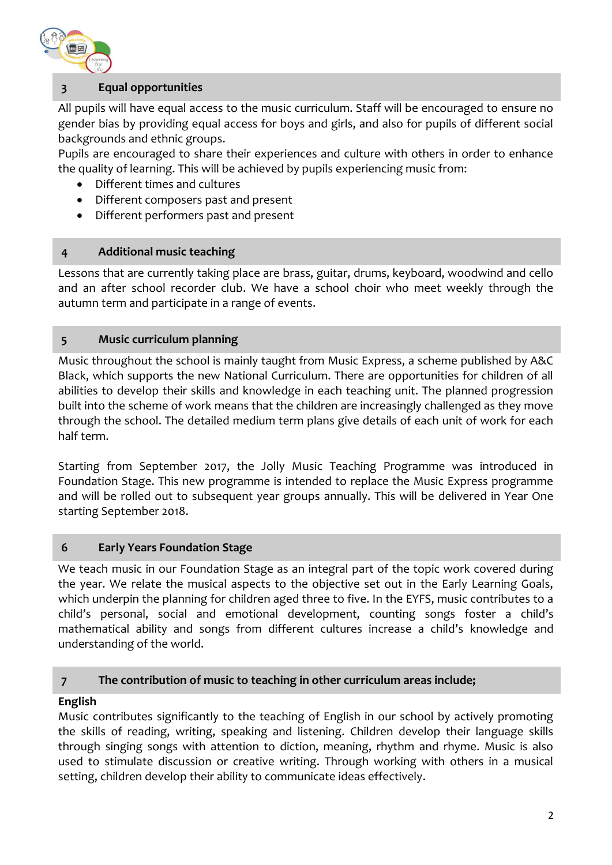

# **3 Equal opportunities**

All pupils will have equal access to the music curriculum. Staff will be encouraged to ensure no gender bias by providing equal access for boys and girls, and also for pupils of different social backgrounds and ethnic groups.

Pupils are encouraged to share their experiences and culture with others in order to enhance the quality of learning. This will be achieved by pupils experiencing music from:

- Different times and cultures
- Different composers past and present
- Different performers past and present

## **4 Additional music teaching**

Lessons that are currently taking place are brass, guitar, drums, keyboard, woodwind and cello and an after school recorder club. We have a school choir who meet weekly through the autumn term and participate in a range of events.

## **5 Music curriculum planning**

Music throughout the school is mainly taught from Music Express, a scheme published by A&C Black, which supports the new National Curriculum. There are opportunities for children of all abilities to develop their skills and knowledge in each teaching unit. The planned progression built into the scheme of work means that the children are increasingly challenged as they move through the school. The detailed medium term plans give details of each unit of work for each half term.

Starting from September 2017, the Jolly Music Teaching Programme was introduced in Foundation Stage. This new programme is intended to replace the Music Express programme and will be rolled out to subsequent year groups annually. This will be delivered in Year One starting September 2018.

## **6 Early Years Foundation Stage**

We teach music in our Foundation Stage as an integral part of the topic work covered during the year. We relate the musical aspects to the objective set out in the Early Learning Goals, which underpin the planning for children aged three to five. In the EYFS, music contributes to a child's personal, social and emotional development, counting songs foster a child's mathematical ability and songs from different cultures increase a child's knowledge and understanding of the world.

## **7 The contribution of music to teaching in other curriculum areas include;**

## **English**

Music contributes significantly to the teaching of English in our school by actively promoting the skills of reading, writing, speaking and listening. Children develop their language skills through singing songs with attention to diction, meaning, rhythm and rhyme. Music is also used to stimulate discussion or creative writing. Through working with others in a musical setting, children develop their ability to communicate ideas effectively.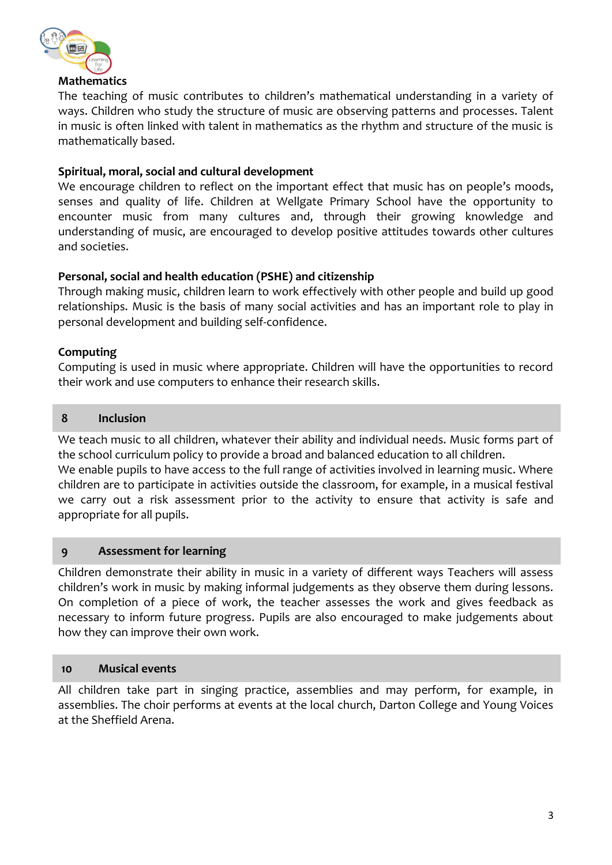

The teaching of music contributes to children's mathematical understanding in a variety of ways. Children who study the structure of music are observing patterns and processes. Talent in music is often linked with talent in mathematics as the rhythm and structure of the music is mathematically based.

## **Spiritual, moral, social and cultural development**

We encourage children to reflect on the important effect that music has on people's moods, senses and quality of life. Children at Wellgate Primary School have the opportunity to encounter music from many cultures and, through their growing knowledge and understanding of music, are encouraged to develop positive attitudes towards other cultures and societies.

## **Personal, social and health education (PSHE) and citizenship**

Through making music, children learn to work effectively with other people and build up good relationships. Music is the basis of many social activities and has an important role to play in personal development and building self-confidence.

#### **Computing**

Computing is used in music where appropriate. Children will have the opportunities to record their work and use computers to enhance their research skills.

#### **8 Inclusion**

We teach music to all children, whatever their ability and individual needs. Music forms part of the school curriculum policy to provide a broad and balanced education to all children. We enable pupils to have access to the full range of activities involved in learning music. Where children are to participate in activities outside the classroom, for example, in a musical festival we carry out a risk assessment prior to the activity to ensure that activity is safe and appropriate for all pupils.

#### **9 Assessment for learning**

Children demonstrate their ability in music in a variety of different ways Teachers will assess children's work in music by making informal judgements as they observe them during lessons. On completion of a piece of work, the teacher assesses the work and gives feedback as necessary to inform future progress. Pupils are also encouraged to make judgements about how they can improve their own work.

#### **10 Musical events**

All children take part in singing practice, assemblies and may perform, for example, in assemblies. The choir performs at events at the local church, Darton College and Young Voices at the Sheffield Arena.